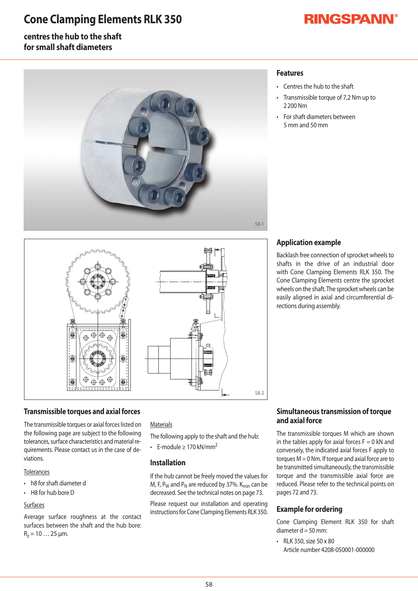## **Cone Clamping Elements RLK 350**

# **RINGSPANN®**

### **centres the hub to the shaft for small shaft diameters**



## **Features**

- Centres the hub to the shaft
- Transmissible torque of 7,2 Nm up to 2200Nm
- For shaft diameters between 5mmand50mm



#### **Transmissible torques and axial forces**

The transmissible torques or axial forces listed on the following page are subject to the following tolerances, surface characteristics and material requirements. Please contact us in the case of deviations.

#### **Tolerances**

- h8 for shaft diameter d
- $\cdot$  H8 for hub bore D

#### Surfaces

Average surface roughness at the contact surfaces between the shaft and the hub bore:  $R_z = 10...25 \mu m$ .

#### Materials

The following apply to the shaft and the hub:

• E-module≥170kN/mm2

#### **Installation**

If the hub cannot be freely moved the values for M, F, P<sub>W</sub> and P<sub>N</sub> are reduced by 37%. K<sub>min</sub> can be decreased. See the technical notes on page 73.

Please request our installation and operating instructions for Cone Clamping Elements RLK 350.

#### **Application example**

Backlash free connection of sprocket wheels to shafts in the drive of an industrial doorwith Cone Clamping Elements RLK 350. The Cone Clamping Elements centre the sprocket wheels on the shaft. The sprocket wheels can be easily aligned in axial and circumferential directions during assembly.

#### **Simultaneous transmission of torque and axial force**

The transmissible torques M which are shownin the tables apply for axial forces  $F = 0$  kN and conversely, the indicated axial forces F apply to torques  $M = 0$  Nm. If torque and axial force are to be transmitted simultaneously, the transmissible torque and the transmissible axial force are reduced. Please refer to the technical points on pages 72 and 73.

#### **Example for ordering**

Cone Clamping Element RLK 350 for shaft diameter  $d = 50$  mm:

• RLK 350, size  $50 \times 80$ Article number 4208-050001-000000